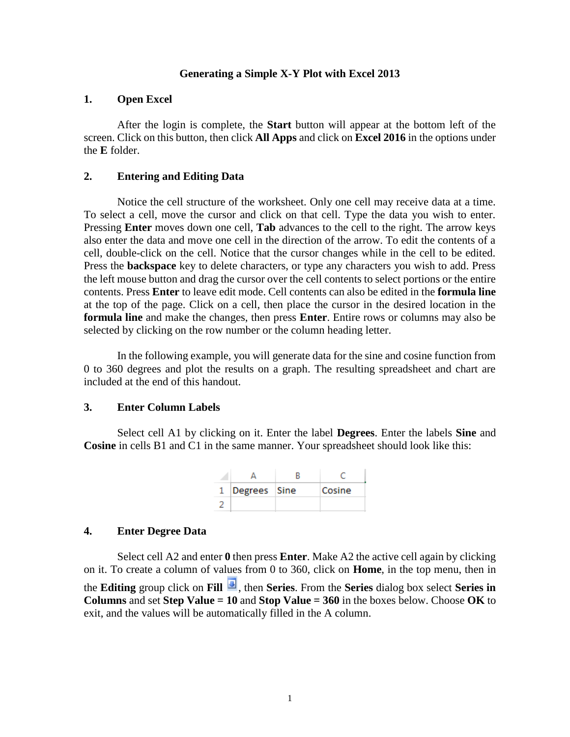### **Generating a Simple X-Y Plot with Excel 2013**

### **1. Open Excel**

After the login is complete, the **Start** button will appear at the bottom left of the screen. Click on this button, then click **All Apps** and click on **Excel 2016** in the options under the **E** folder.

## **2. Entering and Editing Data**

Notice the cell structure of the worksheet. Only one cell may receive data at a time. To select a cell, move the cursor and click on that cell. Type the data you wish to enter. Pressing **Enter** moves down one cell, **Tab** advances to the cell to the right. The arrow keys also enter the data and move one cell in the direction of the arrow. To edit the contents of a cell, double-click on the cell. Notice that the cursor changes while in the cell to be edited. Press the **backspace** key to delete characters, or type any characters you wish to add. Press the left mouse button and drag the cursor over the cell contents to select portions or the entire contents. Press **Enter** to leave edit mode. Cell contents can also be edited in the **formula line** at the top of the page. Click on a cell, then place the cursor in the desired location in the **formula line** and make the changes, then press **Enter**. Entire rows or columns may also be selected by clicking on the row number or the column heading letter.

In the following example, you will generate data for the sine and cosine function from 0 to 360 degrees and plot the results on a graph. The resulting spreadsheet and chart are included at the end of this handout.

### **3. Enter Column Labels**

Select cell A1 by clicking on it. Enter the label **Degrees**. Enter the labels **Sine** and **Cosine** in cells B1 and C1 in the same manner. Your spreadsheet should look like this:

| 1  Degrees  Sine | Cosine |
|------------------|--------|
|                  |        |

## **4. Enter Degree Data**

Select cell A2 and enter **0** then press **Enter**. Make A2 the active cell again by clicking on it. To create a column of values from 0 to 360, click on **Home**, in the top menu, then in the **Editing** group click on **Fill** , then **Series**. From the **Series** dialog box select **Series in Columns** and set **Step Value = 10** and **Stop Value = 360** in the boxes below. Choose **OK** to exit, and the values will be automatically filled in the A column.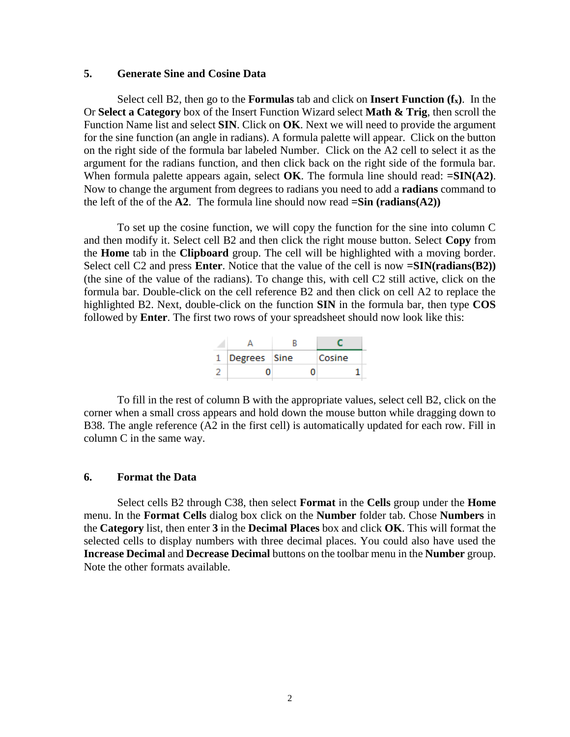## **5. Generate Sine and Cosine Data**

Select cell B2, then go to the **Formulas** tab and click on **Insert Function (fx)**. In the Or **Select a Category** box of the Insert Function Wizard select **Math & Trig**, then scroll the Function Name list and select **SIN**. Click on **OK**. Next we will need to provide the argument for the sine function (an angle in radians). A formula palette will appear. Click on the button on the right side of the formula bar labeled Number. Click on the A2 cell to select it as the argument for the radians function, and then click back on the right side of the formula bar. When formula palette appears again, select **OK**. The formula line should read: **=SIN(A2)**. Now to change the argument from degrees to radians you need to add a **radians** command to the left of the of the  $A2$ . The formula line should now read  $=$ **Sin** (**radians** $(A2)$ )

To set up the cosine function, we will copy the function for the sine into column C and then modify it. Select cell B2 and then click the right mouse button. Select **Copy** from the **Home** tab in the **Clipboard** group. The cell will be highlighted with a moving border. Select cell C2 and press **Enter**. Notice that the value of the cell is now **=SIN(radians(B2))** (the sine of the value of the radians). To change this, with cell C2 still active, click on the formula bar. Double-click on the cell reference B2 and then click on cell A2 to replace the highlighted B2. Next, double-click on the function **SIN** in the formula bar, then type **COS** followed by **Enter**. The first two rows of your spreadsheet should now look like this:

| Degrees Sine |   | Cosine |
|--------------|---|--------|
|              | n |        |

To fill in the rest of column B with the appropriate values, select cell B2, click on the corner when a small cross appears and hold down the mouse button while dragging down to B38. The angle reference (A2 in the first cell) is automatically updated for each row. Fill in column C in the same way.

### **6. Format the Data**

Select cells B2 through C38, then select **Format** in the **Cells** group under the **Home** menu. In the **Format Cells** dialog box click on the **Number** folder tab. Chose **Numbers** in the **Category** list, then enter **3** in the **Decimal Places** box and click **OK**. This will format the selected cells to display numbers with three decimal places. You could also have used the **Increase Decimal** and **Decrease Decimal** buttons on the toolbar menu in the **Number** group. Note the other formats available.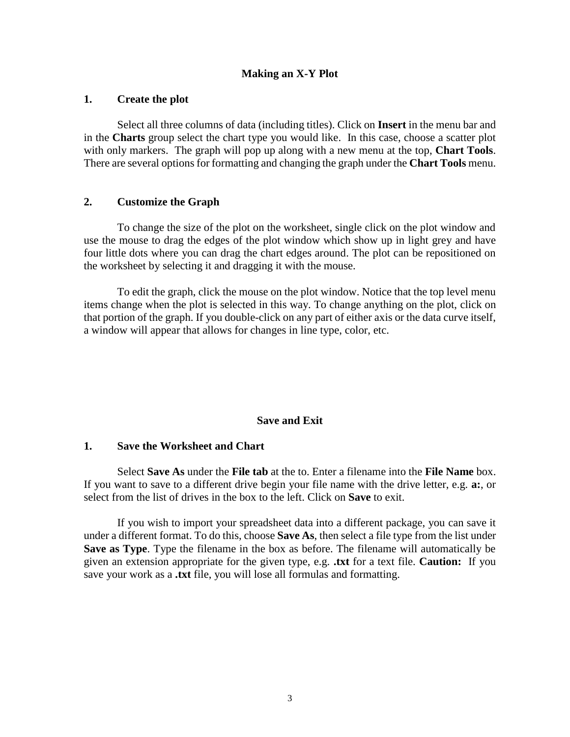## **Making an X-Y Plot**

## **1. Create the plot**

Select all three columns of data (including titles). Click on **Insert** in the menu bar and in the **Charts** group select the chart type you would like. In this case, choose a scatter plot with only markers. The graph will pop up along with a new menu at the top, **Chart Tools**. There are several options for formatting and changing the graph under the **Chart Tools** menu.

## **2. Customize the Graph**

To change the size of the plot on the worksheet, single click on the plot window and use the mouse to drag the edges of the plot window which show up in light grey and have four little dots where you can drag the chart edges around. The plot can be repositioned on the worksheet by selecting it and dragging it with the mouse.

To edit the graph, click the mouse on the plot window. Notice that the top level menu items change when the plot is selected in this way. To change anything on the plot, click on that portion of the graph. If you double-click on any part of either axis or the data curve itself, a window will appear that allows for changes in line type, color, etc.

## **Save and Exit**

### **1. Save the Worksheet and Chart**

Select **Save As** under the **File tab** at the to. Enter a filename into the **File Name** box. If you want to save to a different drive begin your file name with the drive letter, e.g. **a:**, or select from the list of drives in the box to the left. Click on **Save** to exit.

If you wish to import your spreadsheet data into a different package, you can save it under a different format. To do this, choose **Save As**, then select a file type from the list under **Save as Type**. Type the filename in the box as before. The filename will automatically be given an extension appropriate for the given type, e.g. **.txt** for a text file. **Caution:** If you save your work as a **.txt** file, you will lose all formulas and formatting.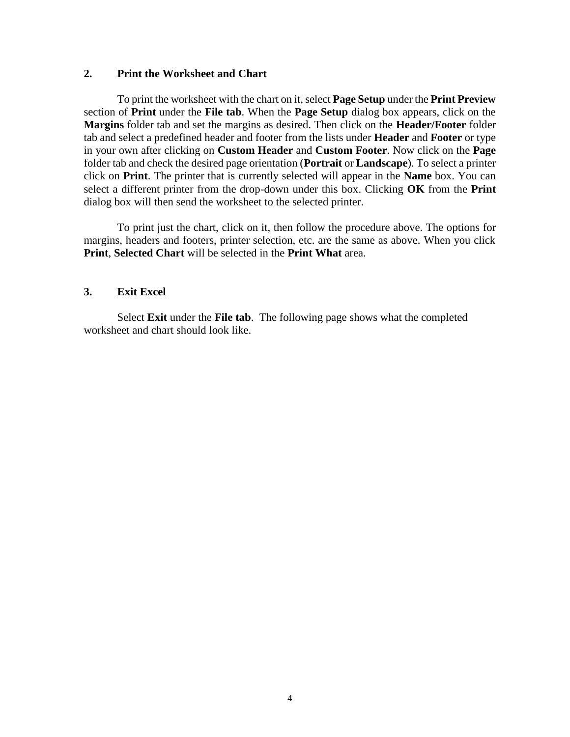# **2. Print the Worksheet and Chart**

To print the worksheet with the chart on it, select **Page Setup** under the **Print Preview** section of **Print** under the **File tab**. When the **Page Setup** dialog box appears, click on the **Margins** folder tab and set the margins as desired. Then click on the **Header/Footer** folder tab and select a predefined header and footer from the lists under **Header** and **Footer** or type in your own after clicking on **Custom Header** and **Custom Footer**. Now click on the **Page** folder tab and check the desired page orientation (**Portrait** or **Landscape**). To select a printer click on **Print**. The printer that is currently selected will appear in the **Name** box. You can select a different printer from the drop-down under this box. Clicking **OK** from the **Print** dialog box will then send the worksheet to the selected printer.

To print just the chart, click on it, then follow the procedure above. The options for margins, headers and footers, printer selection, etc. are the same as above. When you click **Print**, **Selected Chart** will be selected in the **Print What** area.

## **3. Exit Excel**

Select **Exit** under the **File tab**. The following page shows what the completed worksheet and chart should look like.